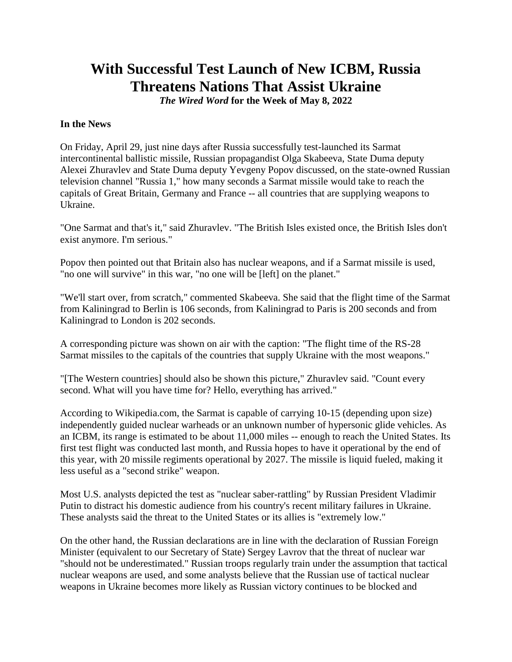# **With Successful Test Launch of New ICBM, Russia Threatens Nations That Assist Ukraine**

*The Wired Word* **for the Week of May 8, 2022**

### **In the News**

On Friday, April 29, just nine days after Russia successfully test-launched its Sarmat intercontinental ballistic missile, Russian propagandist Olga Skabeeva, State Duma deputy Alexei Zhuravlev and State Duma deputy Yevgeny Popov discussed, on the state-owned Russian television channel "Russia 1," how many seconds a Sarmat missile would take to reach the capitals of Great Britain, Germany and France -- all countries that are supplying weapons to Ukraine.

"One Sarmat and that's it," said Zhuravlev. "The British Isles existed once, the British Isles don't exist anymore. I'm serious."

Popov then pointed out that Britain also has nuclear weapons, and if a Sarmat missile is used, "no one will survive" in this war, "no one will be [left] on the planet."

"We'll start over, from scratch," commented Skabeeva. She said that the flight time of the Sarmat from Kaliningrad to Berlin is 106 seconds, from Kaliningrad to Paris is 200 seconds and from Kaliningrad to London is 202 seconds.

A corresponding picture was shown on air with the caption: "The flight time of the RS-28 Sarmat missiles to the capitals of the countries that supply Ukraine with the most weapons."

"[The Western countries] should also be shown this picture," Zhuravlev said. "Count every second. What will you have time for? Hello, everything has arrived."

According to Wikipedia.com, the Sarmat is capable of carrying 10-15 (depending upon size) independently guided nuclear warheads or an unknown number of hypersonic glide vehicles. As an ICBM, its range is estimated to be about 11,000 miles -- enough to reach the United States. Its first test flight was conducted last month, and Russia hopes to have it operational by the end of this year, with 20 missile regiments operational by 2027. The missile is liquid fueled, making it less useful as a "second strike" weapon.

Most U.S. analysts depicted the test as "nuclear saber-rattling" by Russian President Vladimir Putin to distract his domestic audience from his country's recent military failures in Ukraine. These analysts said the threat to the United States or its allies is "extremely low."

On the other hand, the Russian declarations are in line with the declaration of Russian Foreign Minister (equivalent to our Secretary of State) Sergey Lavrov that the threat of nuclear war "should not be underestimated." Russian troops regularly train under the assumption that tactical nuclear weapons are used, and some analysts believe that the Russian use of tactical nuclear weapons in Ukraine becomes more likely as Russian victory continues to be blocked and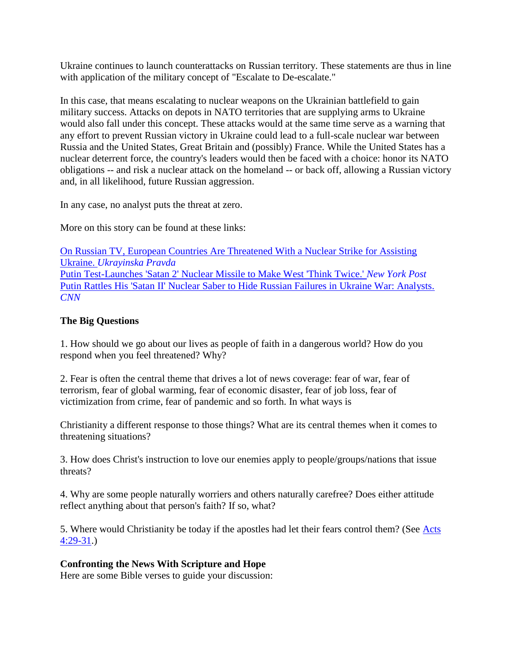Ukraine continues to launch counterattacks on Russian territory. These statements are thus in line with application of the military concept of "Escalate to De-escalate."

In this case, that means escalating to nuclear weapons on the Ukrainian battlefield to gain military success. Attacks on depots in NATO territories that are supplying arms to Ukraine would also fall under this concept. These attacks would at the same time serve as a warning that any effort to prevent Russian victory in Ukraine could lead to a full-scale nuclear war between Russia and the United States, Great Britain and (possibly) France. While the United States has a nuclear deterrent force, the country's leaders would then be faced with a choice: honor its NATO obligations -- and risk a nuclear attack on the homeland -- or back off, allowing a Russian victory and, in all likelihood, future Russian aggression.

In any case, no analyst puts the threat at zero.

More on this story can be found at these links:

[On Russian TV, European Countries Are Threatened With a Nuclear Strike for Assisting](http://url6748.thewiredword.com/ls/click?upn=FXq18njYKHucetmqt-2BDlq6tuzXe8fi0YvaU8LtIGCZkiqwyH9NIxW-2FTxdHgY7Sg3oWiGo4oLusYi3ilvTxMSp8uA-2BNYcdNTpJcaEqwcBbDLHWUoeqZFuGO5IUoZf5iQAS_sa_3P4Kxku8HPj-2F7I4XoZ3-2FXv9OsSYMv1idSWZlXhhfbq-2BSQce3dwmMi3-2FKRL57X8zahNWVMqSXIuLV2CogM9cAPZCCtnbhb1KEvMJTnX859-2BxMxmjExZjj5tjzI-2FXiu1u8SuLPhKAMyyOIHFyztzoKk62RqLBZthxenAUOwch4vqrhuRaeoKqVnX61-2FQ5NYuJOgrMnl5KGJJhnBQd8dNMpjjqUypAuvELnUVRaYFCl6UYmiulnoGGRnJYA8hC7DQuFXe4fsesu8fIEpBalOom3OmvwPFjGmnYB3VRPasnLvDIGpvOUfPXpUMOB3bD4mly-2F6Sk7yr6GFWsgoJR-2FDgiAodoKGUsPvJi7yVdCzVU7z1guHaunpmKek-2Fg-2FkQtJl5G3vB8ejoCw3rxyfKlBWg-2BvkrAcLv8HgtY9eJ5URHXTchX-2BNAyZ3l76Y-2Bjp3FxXnCZSnwjD80jDBnfwJ93aqUUIFEd9V928Kl0RUQr4iPJWo8b9-2FXLGtR89lSTFns9G0ifT)  Ukraine. *[Ukrayinska Pravda](http://url6748.thewiredword.com/ls/click?upn=FXq18njYKHucetmqt-2BDlq6tuzXe8fi0YvaU8LtIGCZkiqwyH9NIxW-2FTxdHgY7Sg3oWiGo4oLusYi3ilvTxMSp8uA-2BNYcdNTpJcaEqwcBbDLHWUoeqZFuGO5IUoZf5iQAS_sa_3P4Kxku8HPj-2F7I4XoZ3-2FXv9OsSYMv1idSWZlXhhfbq-2BSQce3dwmMi3-2FKRL57X8zahNWVMqSXIuLV2CogM9cAPZCCtnbhb1KEvMJTnX859-2BxMxmjExZjj5tjzI-2FXiu1u8SuLPhKAMyyOIHFyztzoKk62RqLBZthxenAUOwch4vqrhuRaeoKqVnX61-2FQ5NYuJOgrMnl5KGJJhnBQd8dNMpjjqUypAuvELnUVRaYFCl6UYmiulnoGGRnJYA8hC7DQuFXe4fsesu8fIEpBalOom3OmvwPFjGmnYB3VRPasnLvDIGpvOUfPXpUMOB3bD4mly-2F6Sk7yr6GFWsgoJR-2FDgiAodoKGUsPvJi7yVdCzVU7z1guHaunpmKek-2Fg-2FkQtJl5G3vB8ejoCw3rxyfKlBWg-2BvkrAcLv8HgtY9eJ5URHXTchX-2BNAyZ3l76Y-2Bjp3FxXnCZSnwjD80jDBnfwJ93aqUUIFEd9V928Kl0RUQr4iPJWo8b9-2FXLGtR89lSTFns9G0ifT)* [Putin Test-Launches 'Satan 2' Nuclear Missile to Make West 'Think Twice.'](http://url6748.thewiredword.com/ls/click?upn=FXq18njYKHucetmqt-2BDlqzz1hWcTHfY1gH9NFGdliOYSeT6Ai2DrmVs0HLXxhzGXfYepm-2FprgyFs4FFpL87OgE63fQZz7Oj5VI9q74J0nyCRfI8x450e-2FASPHr-2FLGkK6aNX-_3P4Kxku8HPj-2F7I4XoZ3-2FXv9OsSYMv1idSWZlXhhfbq-2BSQce3dwmMi3-2FKRL57X8zahNWVMqSXIuLV2CogM9cAPZCCtnbhb1KEvMJTnX859-2BxMxmjExZjj5tjzI-2FXiu1u8SuLPhKAMyyOIHFyztzoKk62RqLBZthxenAUOwch4vqrhuRaeoKqVnX61-2FQ5NYuJOgrMnl5KGJJhnBQd8dNMpjjqUypAuvELnUVRaYFCl6UYmiulnoGGRnJYA8hC7DQuFXe4fsesu8fIEpBalOom3OmvwPFjGmnYB3VRPasnLvDLaQbdPi9L3l7N-2B-2FFBY2WlK8KFjnTWVUZRjp-2FpFWcKe0IrAAIRgOgA3et-2FwXCF13bwgEfz0KSgWd7YgvwJSJT-2FObYno-2BfkCr2YaV-2Bd9gGCfX9pFEsdgTTToMSpIjQCIuqW3p6r-2FpeJtI0oYlUg11VSNvzHAAvHKPu-2BWfonK8tt1oDYrKFOn4Zy-2BIjP3GxlHttgIAIce4Hvm55H6Ro9qt8MT) *New York Post* [Putin Rattles His 'Satan II' Nuclear Saber to Hide Russian Failures in Ukraine War: Analysts.](http://url6748.thewiredword.com/ls/click?upn=FXq18njYKHucetmqt-2BDlq1j9UQ7IOeHujKc1eD8E88nDKS75Y2dInRY3epPOOO9S7Y27SSichtKRIsHxGSGbM6h1v07ikO84IZ8dgMQNxdgm1bBFFcJwgmvFnt46BYPvsrt8_3P4Kxku8HPj-2F7I4XoZ3-2FXv9OsSYMv1idSWZlXhhfbq-2BSQce3dwmMi3-2FKRL57X8zahNWVMqSXIuLV2CogM9cAPZCCtnbhb1KEvMJTnX859-2BxMxmjExZjj5tjzI-2FXiu1u8SuLPhKAMyyOIHFyztzoKk62RqLBZthxenAUOwch4vqrhuRaeoKqVnX61-2FQ5NYuJOgrMnl5KGJJhnBQd8dNMpjjqUypAuvELnUVRaYFCl6UYmiulnoGGRnJYA8hC7DQuFXe4fsesu8fIEpBalOom3OmvwPFjGmnYB3VRPasnLvDKqAjZaNHtmRof5IIbX0nwfQkqsTxmoETGnRNGFisS3WRJIEe-2Bf1lsvchfjY3cj3L-2BrLlKzHMmQ597EXpfRq0ZlzfsDTioa2i9GxW7lP44rIYVEWfuYsnqqiViVhMSjkCxORbrP89rV5kXMJt5jj-2FKG-2BBwbID7cq7O2xCRs0XSsA6dFw1JnQJaO8bURzUEU7AktwPXzfVVTDck-2FmYx-2BmR9b)  *[CNN](http://url6748.thewiredword.com/ls/click?upn=FXq18njYKHucetmqt-2BDlq1j9UQ7IOeHujKc1eD8E88nDKS75Y2dInRY3epPOOO9S7Y27SSichtKRIsHxGSGbM6h1v07ikO84IZ8dgMQNxdgm1bBFFcJwgmvFnt46BYPvsrt8_3P4Kxku8HPj-2F7I4XoZ3-2FXv9OsSYMv1idSWZlXhhfbq-2BSQce3dwmMi3-2FKRL57X8zahNWVMqSXIuLV2CogM9cAPZCCtnbhb1KEvMJTnX859-2BxMxmjExZjj5tjzI-2FXiu1u8SuLPhKAMyyOIHFyztzoKk62RqLBZthxenAUOwch4vqrhuRaeoKqVnX61-2FQ5NYuJOgrMnl5KGJJhnBQd8dNMpjjqUypAuvELnUVRaYFCl6UYmiulnoGGRnJYA8hC7DQuFXe4fsesu8fIEpBalOom3OmvwPFjGmnYB3VRPasnLvDKqAjZaNHtmRof5IIbX0nwfQkqsTxmoETGnRNGFisS3WRJIEe-2Bf1lsvchfjY3cj3L-2BrLlKzHMmQ597EXpfRq0ZlzfsDTioa2i9GxW7lP44rIYVEWfuYsnqqiViVhMSjkCxORbrP89rV5kXMJt5jj-2FKG-2BBwbID7cq7O2xCRs0XSsA6dFw1JnQJaO8bURzUEU7AktwPXzfVVTDck-2FmYx-2BmR9b)*

# **The Big Questions**

1. How should we go about our lives as people of faith in a dangerous world? How do you respond when you feel threatened? Why?

2. Fear is often the central theme that drives a lot of news coverage: fear of war, fear of terrorism, fear of global warming, fear of economic disaster, fear of job loss, fear of victimization from crime, fear of pandemic and so forth. In what ways is

Christianity a different response to those things? What are its central themes when it comes to threatening situations?

3. How does Christ's instruction to love our enemies apply to people/groups/nations that issue threats?

4. Why are some people naturally worriers and others naturally carefree? Does either attitude reflect anything about that person's faith? If so, what?

5. Where would Christianity be today if the apostles had let their fears control them? (See [Acts](http://url6748.thewiredword.com/ls/click?upn=FXq18njYKHucetmqt-2BDlq7yUGu2EWPSz-2Brkxn3-2Blc81laFvNpatXtNw2c8uopxzgZ9totyxW2ajHLIppTo6dM7LJPaInxcIo8Yk-2F8w-2BYmJuvGoJN-2FzybQEkKlLS7ZMclQD4S_3P4Kxku8HPj-2F7I4XoZ3-2FXv9OsSYMv1idSWZlXhhfbq-2BSQce3dwmMi3-2FKRL57X8zahNWVMqSXIuLV2CogM9cAPZCCtnbhb1KEvMJTnX859-2BxMxmjExZjj5tjzI-2FXiu1u8SuLPhKAMyyOIHFyztzoKk62RqLBZthxenAUOwch4vqrhuRaeoKqVnX61-2FQ5NYuJOgrMnl5KGJJhnBQd8dNMpjjqUypAuvELnUVRaYFCl6UYmiulnoGGRnJYA8hC7DQuFXe4fsesu8fIEpBalOom3OmvwPFjGmnYB3VRPasnLvDK1NqBQ7EO7h94TQ6wuiOXC81fnqForJEN-2B2At3HXvGJO7xp80ly9DfapundqeFcvx67MY-2FodoRl4i2u6hXc7105NXrDAN9zTmiamT9F6-2FT-2BFfK1dOWYlJEyesaarb1KYeHldZRdPtC-2FQWmUnPP4ftySh5YM1aNXaZAgtuVmQHKHuYPuxqpb9wIZk2cwQx-2FdA06-2FXB-2BPZ3JhxSZ5ybjTAjE)  [4:29-31.](http://url6748.thewiredword.com/ls/click?upn=FXq18njYKHucetmqt-2BDlq7yUGu2EWPSz-2Brkxn3-2Blc81laFvNpatXtNw2c8uopxzgZ9totyxW2ajHLIppTo6dM7LJPaInxcIo8Yk-2F8w-2BYmJuvGoJN-2FzybQEkKlLS7ZMclQD4S_3P4Kxku8HPj-2F7I4XoZ3-2FXv9OsSYMv1idSWZlXhhfbq-2BSQce3dwmMi3-2FKRL57X8zahNWVMqSXIuLV2CogM9cAPZCCtnbhb1KEvMJTnX859-2BxMxmjExZjj5tjzI-2FXiu1u8SuLPhKAMyyOIHFyztzoKk62RqLBZthxenAUOwch4vqrhuRaeoKqVnX61-2FQ5NYuJOgrMnl5KGJJhnBQd8dNMpjjqUypAuvELnUVRaYFCl6UYmiulnoGGRnJYA8hC7DQuFXe4fsesu8fIEpBalOom3OmvwPFjGmnYB3VRPasnLvDK1NqBQ7EO7h94TQ6wuiOXC81fnqForJEN-2B2At3HXvGJO7xp80ly9DfapundqeFcvx67MY-2FodoRl4i2u6hXc7105NXrDAN9zTmiamT9F6-2FT-2BFfK1dOWYlJEyesaarb1KYeHldZRdPtC-2FQWmUnPP4ftySh5YM1aNXaZAgtuVmQHKHuYPuxqpb9wIZk2cwQx-2FdA06-2FXB-2BPZ3JhxSZ5ybjTAjE))

# **Confronting the News With Scripture and Hope**

Here are some Bible verses to guide your discussion: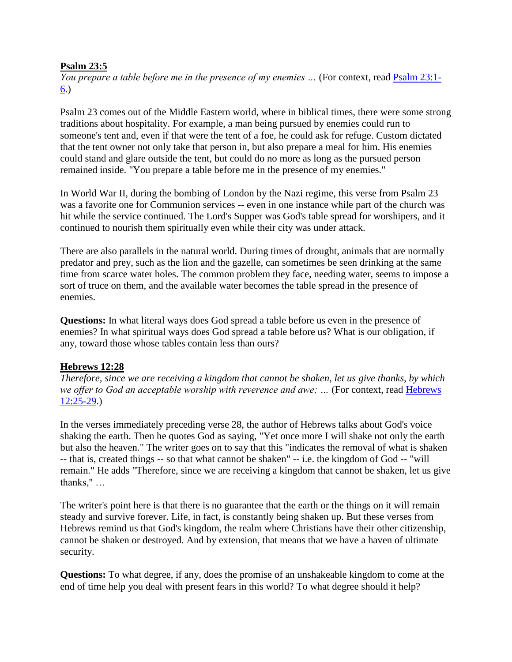### **Psalm 23:5**

*You prepare a table before me in the presence of my enemies ...* (For context, read **Psalm 23:1-**[6.](http://url6748.thewiredword.com/ls/click?upn=FXq18njYKHucetmqt-2BDlq7yUGu2EWPSz-2Brkxn3-2Blc81laFvNpatXtNw2c8uopxzgk-2F25Aod3niNeWj7IB-2FLYltHkziqJXqrbOoxGf7nrekt0t64TRVTDeZoOHbZwYxBzCF1s_3P4Kxku8HPj-2F7I4XoZ3-2FXv9OsSYMv1idSWZlXhhfbq-2BSQce3dwmMi3-2FKRL57X8zahNWVMqSXIuLV2CogM9cAPZCCtnbhb1KEvMJTnX859-2BxMxmjExZjj5tjzI-2FXiu1u8SuLPhKAMyyOIHFyztzoKk62RqLBZthxenAUOwch4vqrhuRaeoKqVnX61-2FQ5NYuJOgrMnl5KGJJhnBQd8dNMpjjqUypAuvELnUVRaYFCl6UYmiulnoGGRnJYA8hC7DQuFXe4fsesu8fIEpBalOom3OmvwPFjGmnYB3VRPasnLvDI9dh08EIroSfIwjXN8WaMgLPnMliXEqHm3RVCl7OoPWvF6JGYfsWO8oJDjQiD8-2FM98xutIcmhA5WHwM71griUJE7kQM5Xy0NG4BvNM8y4fwbOKhEW6RoLUk3DEhwrSrCSrqAUEIPXAC4rhkmPDpt4H0RXviGLWafLwx3pb2rcWXO4est1SJuevtygJ0PkuklOszNBAjP0L6eJ3sczr3iW2))

Psalm 23 comes out of the Middle Eastern world, where in biblical times, there were some strong traditions about hospitality. For example, a man being pursued by enemies could run to someone's tent and, even if that were the tent of a foe, he could ask for refuge. Custom dictated that the tent owner not only take that person in, but also prepare a meal for him. His enemies could stand and glare outside the tent, but could do no more as long as the pursued person remained inside. "You prepare a table before me in the presence of my enemies."

In World War II, during the bombing of London by the Nazi regime, this verse from Psalm 23 was a favorite one for Communion services -- even in one instance while part of the church was hit while the service continued. The Lord's Supper was God's table spread for worshipers, and it continued to nourish them spiritually even while their city was under attack.

There are also parallels in the natural world. During times of drought, animals that are normally predator and prey, such as the lion and the gazelle, can sometimes be seen drinking at the same time from scarce water holes. The common problem they face, needing water, seems to impose a sort of truce on them, and the available water becomes the table spread in the presence of enemies.

**Questions:** In what literal ways does God spread a table before us even in the presence of enemies? In what spiritual ways does God spread a table before us? What is our obligation, if any, toward those whose tables contain less than ours?

# **Hebrews 12:28**

*Therefore, since we are receiving a kingdom that cannot be shaken, let us give thanks, by which we offer to God an acceptable worship with reverence and awe; …* (For context, read [Hebrews](http://url6748.thewiredword.com/ls/click?upn=FXq18njYKHucetmqt-2BDlq7yUGu2EWPSz-2Brkxn3-2Blc81laFvNpatXtNw2c8uopxzg5vhX8DWfinujjRFMmgP-2BZ87bjOS7zuG3t1OUlHSzBcuEbr3GciixziFteHLfuTV0Nnuk_3P4Kxku8HPj-2F7I4XoZ3-2FXv9OsSYMv1idSWZlXhhfbq-2BSQce3dwmMi3-2FKRL57X8zahNWVMqSXIuLV2CogM9cAPZCCtnbhb1KEvMJTnX859-2BxMxmjExZjj5tjzI-2FXiu1u8SuLPhKAMyyOIHFyztzoKk62RqLBZthxenAUOwch4vqrhuRaeoKqVnX61-2FQ5NYuJOgrMnl5KGJJhnBQd8dNMpjjqUypAuvELnUVRaYFCl6UYmiulnoGGRnJYA8hC7DQuFXe4fsesu8fIEpBalOom3OmvwPFjGmnYB3VRPasnLvDKCJG2IskZzryv-2BJpDOnUThzTgBIB79eq4GD47jMBhv1c7CPSXfDbyuks8DOI7AyGDwGWabnOSXbh0qQYxtlH62ajVVfA-2Fu-2BYtP2XbBiLGEDhPYzdfQd-2BQopSZVwvj7UnGJmM0gernWxk43XPyXggXFCx0OO6ER-2BdggiIuL3EYJyO4ObjfMe394Z3WryLk0zV6APXGbe9h3Iqt4WPUMXU6k)  [12:25-29.](http://url6748.thewiredword.com/ls/click?upn=FXq18njYKHucetmqt-2BDlq7yUGu2EWPSz-2Brkxn3-2Blc81laFvNpatXtNw2c8uopxzg5vhX8DWfinujjRFMmgP-2BZ87bjOS7zuG3t1OUlHSzBcuEbr3GciixziFteHLfuTV0Nnuk_3P4Kxku8HPj-2F7I4XoZ3-2FXv9OsSYMv1idSWZlXhhfbq-2BSQce3dwmMi3-2FKRL57X8zahNWVMqSXIuLV2CogM9cAPZCCtnbhb1KEvMJTnX859-2BxMxmjExZjj5tjzI-2FXiu1u8SuLPhKAMyyOIHFyztzoKk62RqLBZthxenAUOwch4vqrhuRaeoKqVnX61-2FQ5NYuJOgrMnl5KGJJhnBQd8dNMpjjqUypAuvELnUVRaYFCl6UYmiulnoGGRnJYA8hC7DQuFXe4fsesu8fIEpBalOom3OmvwPFjGmnYB3VRPasnLvDKCJG2IskZzryv-2BJpDOnUThzTgBIB79eq4GD47jMBhv1c7CPSXfDbyuks8DOI7AyGDwGWabnOSXbh0qQYxtlH62ajVVfA-2Fu-2BYtP2XbBiLGEDhPYzdfQd-2BQopSZVwvj7UnGJmM0gernWxk43XPyXggXFCx0OO6ER-2BdggiIuL3EYJyO4ObjfMe394Z3WryLk0zV6APXGbe9h3Iqt4WPUMXU6k))

In the verses immediately preceding verse 28, the author of Hebrews talks about God's voice shaking the earth. Then he quotes God as saying, "Yet once more I will shake not only the earth but also the heaven." The writer goes on to say that this "indicates the removal of what is shaken -- that is, created things -- so that what cannot be shaken" -- i.e. the kingdom of God -- "will remain." He adds "Therefore, since we are receiving a kingdom that cannot be shaken, let us give thanks," …

The writer's point here is that there is no guarantee that the earth or the things on it will remain steady and survive forever. Life, in fact, is constantly being shaken up. But these verses from Hebrews remind us that God's kingdom, the realm where Christians have their other citizenship, cannot be shaken or destroyed. And by extension, that means that we have a haven of ultimate security.

**Questions:** To what degree, if any, does the promise of an unshakeable kingdom to come at the end of time help you deal with present fears in this world? To what degree should it help?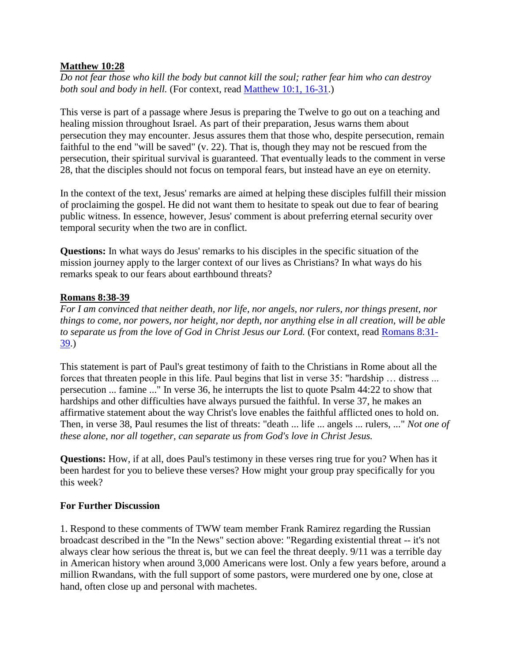### **Matthew 10:28**

*Do not fear those who kill the body but cannot kill the soul; rather fear him who can destroy both soul and body in hell.* (For context, read [Matthew 10:1, 16-31.](http://url6748.thewiredword.com/ls/click?upn=FXq18njYKHucetmqt-2BDlq7yUGu2EWPSz-2Brkxn3-2Blc81laFvNpatXtNw2c8uopxzgIq7Ta3vLnsgBj4ZPQBMTSfPZKI-2FbKBI3YSuWmRktt1ULmJ4uIZ9s4l5R2PXdi9-2Bj-oQv_3P4Kxku8HPj-2F7I4XoZ3-2FXv9OsSYMv1idSWZlXhhfbq-2BSQce3dwmMi3-2FKRL57X8zahNWVMqSXIuLV2CogM9cAPZCCtnbhb1KEvMJTnX859-2BxMxmjExZjj5tjzI-2FXiu1u8SuLPhKAMyyOIHFyztzoKk62RqLBZthxenAUOwch4vqrhuRaeoKqVnX61-2FQ5NYuJOgrMnl5KGJJhnBQd8dNMpjjqUypAuvELnUVRaYFCl6UYmiulnoGGRnJYA8hC7DQuFXe4fsesu8fIEpBalOom3OmvwPFjGmnYB3VRPasnLvDJx9OgUtSILAZ4i31B864IgORlv3YVEkdxCvzTlucO6KFCA8GelGTq3Ouyc6Vz7jZU7NUAW-2F3ptnBjy-2BGSfycut0Rqa5i4V33fL4fRU2CRG-2BiOToU8Eeo2ovpfHd85DmWz17EPk-2By2h7i6N9-2FrsXwUYwCFZ3JRSLrlbrxSpDJ-2B9naE9GfJT1iM96nY08HiwSC8tLi6Ug7uxbzo71ZENdyXX))

This verse is part of a passage where Jesus is preparing the Twelve to go out on a teaching and healing mission throughout Israel. As part of their preparation, Jesus warns them about persecution they may encounter. Jesus assures them that those who, despite persecution, remain faithful to the end "will be saved" (v. 22). That is, though they may not be rescued from the persecution, their spiritual survival is guaranteed. That eventually leads to the comment in verse 28, that the disciples should not focus on temporal fears, but instead have an eye on eternity.

In the context of the text, Jesus' remarks are aimed at helping these disciples fulfill their mission of proclaiming the gospel. He did not want them to hesitate to speak out due to fear of bearing public witness. In essence, however, Jesus' comment is about preferring eternal security over temporal security when the two are in conflict.

**Questions:** In what ways do Jesus' remarks to his disciples in the specific situation of the mission journey apply to the larger context of our lives as Christians? In what ways do his remarks speak to our fears about earthbound threats?

#### **Romans 8:38-39**

*For I am convinced that neither death, nor life, nor angels, nor rulers, nor things present, nor things to come, nor powers, nor height, nor depth, nor anything else in all creation, will be able to separate us from the love of God in Christ Jesus our Lord.* (For context, read [Romans 8:31-](http://url6748.thewiredword.com/ls/click?upn=FXq18njYKHucetmqt-2BDlq7yUGu2EWPSz-2Brkxn3-2Blc81laFvNpatXtNw2c8uopxzgSyBqfrH56NmBG6W29PCdif08YF6T4uG7NExG98x3d7aPe7B8AyWEj49znnX7mbVy9IQS_3P4Kxku8HPj-2F7I4XoZ3-2FXv9OsSYMv1idSWZlXhhfbq-2BSQce3dwmMi3-2FKRL57X8zahNWVMqSXIuLV2CogM9cAPZCCtnbhb1KEvMJTnX859-2BxMxmjExZjj5tjzI-2FXiu1u8SuLPhKAMyyOIHFyztzoKk62RqLBZthxenAUOwch4vqrhuRaeoKqVnX61-2FQ5NYuJOgrMnl5KGJJhnBQd8dNMpjjqUypAuvELnUVRaYFCl6UYmiulnoGGRnJYA8hC7DQuFXe4fsesu8fIEpBalOom3OmvwPFjGmnYB3VRPasnLvDIu464Nxq9kTQ1qykpUPkRXIygTv1sMVyXon3-2BnOoTlGf6ew2rOuXLWEqfu-2FLfZojRTeHUEA5rzncWcKhrnZDXoPe1wcZ-2FpVEJn1LyYWQhrFk1sKIWQK318Y10mM7vRaPgSYjhJDwMq2zVTaCpGPInOXq4CBrJRG0gJCr7vnenkDZui-2FIXgNAbQWEclCaN52M9VNVUKB9vT3U4OVwZM1l42) [39.](http://url6748.thewiredword.com/ls/click?upn=FXq18njYKHucetmqt-2BDlq7yUGu2EWPSz-2Brkxn3-2Blc81laFvNpatXtNw2c8uopxzgSyBqfrH56NmBG6W29PCdif08YF6T4uG7NExG98x3d7aPe7B8AyWEj49znnX7mbVy9IQS_3P4Kxku8HPj-2F7I4XoZ3-2FXv9OsSYMv1idSWZlXhhfbq-2BSQce3dwmMi3-2FKRL57X8zahNWVMqSXIuLV2CogM9cAPZCCtnbhb1KEvMJTnX859-2BxMxmjExZjj5tjzI-2FXiu1u8SuLPhKAMyyOIHFyztzoKk62RqLBZthxenAUOwch4vqrhuRaeoKqVnX61-2FQ5NYuJOgrMnl5KGJJhnBQd8dNMpjjqUypAuvELnUVRaYFCl6UYmiulnoGGRnJYA8hC7DQuFXe4fsesu8fIEpBalOom3OmvwPFjGmnYB3VRPasnLvDIu464Nxq9kTQ1qykpUPkRXIygTv1sMVyXon3-2BnOoTlGf6ew2rOuXLWEqfu-2FLfZojRTeHUEA5rzncWcKhrnZDXoPe1wcZ-2FpVEJn1LyYWQhrFk1sKIWQK318Y10mM7vRaPgSYjhJDwMq2zVTaCpGPInOXq4CBrJRG0gJCr7vnenkDZui-2FIXgNAbQWEclCaN52M9VNVUKB9vT3U4OVwZM1l42))

This statement is part of Paul's great testimony of faith to the Christians in Rome about all the forces that threaten people in this life. Paul begins that list in verse 35: "hardship … distress ... persecution ... famine ..." In verse 36, he interrupts the list to quote Psalm 44:22 to show that hardships and other difficulties have always pursued the faithful. In verse 37, he makes an affirmative statement about the way Christ's love enables the faithful afflicted ones to hold on. Then, in verse 38, Paul resumes the list of threats: "death ... life ... angels ... rulers, ..." *Not one of these alone, nor all together, can separate us from God's love in Christ Jesus.*

**Questions:** How, if at all, does Paul's testimony in these verses ring true for you? When has it been hardest for you to believe these verses? How might your group pray specifically for you this week?

#### **For Further Discussion**

1. Respond to these comments of TWW team member Frank Ramirez regarding the Russian broadcast described in the "In the News" section above: "Regarding existential threat -- it's not always clear how serious the threat is, but we can feel the threat deeply. 9/11 was a terrible day in American history when around 3,000 Americans were lost. Only a few years before, around a million Rwandans, with the full support of some pastors, were murdered one by one, close at hand, often close up and personal with machetes.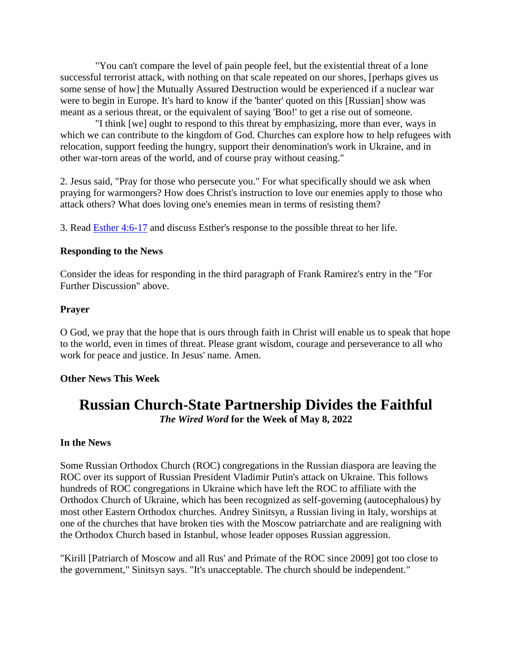"You can't compare the level of pain people feel, but the existential threat of a lone successful terrorist attack, with nothing on that scale repeated on our shores, [perhaps gives us some sense of how] the Mutually Assured Destruction would be experienced if a nuclear war were to begin in Europe. It's hard to know if the 'banter' quoted on this [Russian] show was meant as a serious threat, or the equivalent of saying 'Boo!' to get a rise out of someone.

 "I think [we] ought to respond to this threat by emphasizing, more than ever, ways in which we can contribute to the kingdom of God. Churches can explore how to help refugees with relocation, support feeding the hungry, support their denomination's work in Ukraine, and in other war-torn areas of the world, and of course pray without ceasing."

2. Jesus said, "Pray for those who persecute you." For what specifically should we ask when praying for warmongers? How does Christ's instruction to love our enemies apply to those who attack others? What does loving one's enemies mean in terms of resisting them?

3. Read [Esther 4:6-17](http://url6748.thewiredword.com/ls/click?upn=FXq18njYKHucetmqt-2BDlq7yUGu2EWPSz-2Brkxn3-2Blc81laFvNpatXtNw2c8uopxzg7o9SbkG-2B4r0ce0Np9v0jccaVE7icd6DV8-2FYdMzXjV6BP3ZPknTKUW2IwBrVVXAf2aVHT_3P4Kxku8HPj-2F7I4XoZ3-2FXv9OsSYMv1idSWZlXhhfbq-2BSQce3dwmMi3-2FKRL57X8zahNWVMqSXIuLV2CogM9cAPZCCtnbhb1KEvMJTnX859-2BxMxmjExZjj5tjzI-2FXiu1u8SuLPhKAMyyOIHFyztzoKk62RqLBZthxenAUOwch4vqrhuRaeoKqVnX61-2FQ5NYuJOgrMnl5KGJJhnBQd8dNMpjjqUypAuvELnUVRaYFCl6UYmiulnoGGRnJYA8hC7DQuFXe4fsesu8fIEpBalOom3OmvwPFjGmnYB3VRPasnLvDJHCLfOjISKZWRTW0VGTWrM9DDMmZ7PYLAUwCE7kiOMypa3gRhkx17QD-2Fa3wnU8OuejcKG4H2QvnCyi-2F4BBna4gbS-2FHpCvpWhV4RtWVGbVxR01iFk99ArwApP9kmYI5Yc-2BGdbv9ewzwRA2FG05MYvbuktjdm23JzvbQn4fSUPEOYpaFKPqVlbnZHbwc1y4tuau-2F3Xt-2BY8cg6uUS90m20dhc) and discuss Esther's response to the possible threat to her life.

### **Responding to the News**

Consider the ideas for responding in the third paragraph of Frank Ramirez's entry in the "For Further Discussion" above.

### **Prayer**

O God, we pray that the hope that is ours through faith in Christ will enable us to speak that hope to the world, even in times of threat. Please grant wisdom, courage and perseverance to all who work for peace and justice. In Jesus' name. Amen.

# **Other News This Week**

# **Russian Church-State Partnership Divides the Faithful** *The Wired Word* **for the Week of May 8, 2022**

#### **In the News**

Some Russian Orthodox Church (ROC) congregations in the Russian diaspora are leaving the ROC over its support of Russian President Vladimir Putin's attack on Ukraine. This follows hundreds of ROC congregations in Ukraine which have left the ROC to affiliate with the Orthodox Church of Ukraine, which has been recognized as self-governing (autocephalous) by most other Eastern Orthodox churches. Andrey Sinitsyn, a Russian living in Italy, worships at one of the churches that have broken ties with the Moscow patriarchate and are realigning with the Orthodox Church based in Istanbul, whose leader opposes Russian aggression.

"Kirill [Patriarch of Moscow and all Rus' and Primate of the ROC since 2009] got too close to the government," Sinitsyn says. "It's unacceptable. The church should be independent."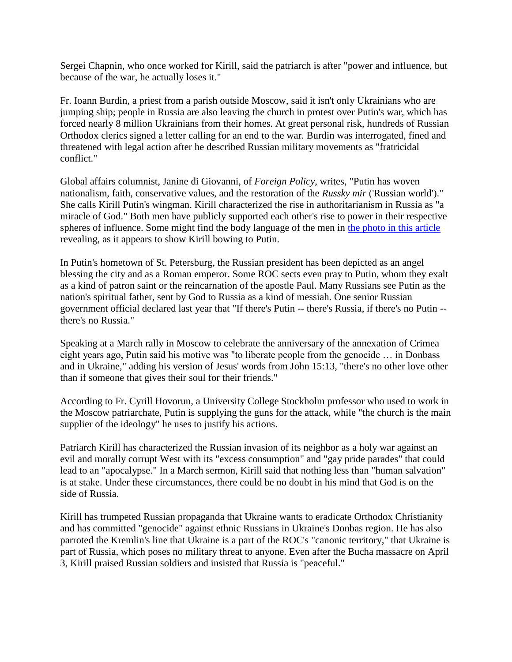Sergei Chapnin, who once worked for Kirill, said the patriarch is after "power and influence, but because of the war, he actually loses it."

Fr. Ioann Burdin, a priest from a parish outside Moscow, said it isn't only Ukrainians who are jumping ship; people in Russia are also leaving the church in protest over Putin's war, which has forced nearly 8 million Ukrainians from their homes. At great personal risk, hundreds of Russian Orthodox clerics signed a letter calling for an end to the war. Burdin was interrogated, fined and threatened with legal action after he described Russian military movements as "fratricidal conflict."

Global affairs columnist, Janine di Giovanni, of *Foreign Policy*, writes, "Putin has woven nationalism, faith, conservative values, and the restoration of the *Russky mir* ('Russian world')." She calls Kirill Putin's wingman. Kirill characterized the rise in authoritarianism in Russia as "a miracle of God." Both men have publicly supported each other's rise to power in their respective spheres of influence. Some might find the body language of the men in [the photo in this article](http://url6748.thewiredword.com/ls/click?upn=FXq18njYKHucetmqt-2BDlq9OYFMebC678IF5bvbwx9kt9WIDnsyLJion3Rd6BqLmllwBbiwcReo25B8jfYM7zQHNJvljlG3ifYHTdo-2B71vEIj01h0zjrMN0wp2acYuiTaC1VIsx-2BjXHi8vFC2ONvC-2Fe1HOmxtb0eqgFVbhpO4WJVdchlBU1lE-2FnvVidK62nHPrZu3-2FlEHig8cBGot8a2KXw-3D-3DpzPV_3P4Kxku8HPj-2F7I4XoZ3-2FXv9OsSYMv1idSWZlXhhfbq-2BSQce3dwmMi3-2FKRL57X8zahNWVMqSXIuLV2CogM9cAPZCCtnbhb1KEvMJTnX859-2BxMxmjExZjj5tjzI-2FXiu1u8SuLPhKAMyyOIHFyztzoKk62RqLBZthxenAUOwch4vqrhuRaeoKqVnX61-2FQ5NYuJOgrMnl5KGJJhnBQd8dNMpjjqUypAuvELnUVRaYFCl6UYmiulnoGGRnJYA8hC7DQuFXe4fsesu8fIEpBalOom3OmvwPFjGmnYB3VRPasnLvDJxsnQK56AqrhBXd7PAqZSseoFni-2FMFGaw94Q8NYWIOvb8t4UmTBA-2FVm3uiImMSRb-2Fox-2BRAWUuXhzCbsDAwblvsvnGmtXgVs-2F75vuT8z9fbdlt-2BO75IGeMGzOPc3b5gHDkuOkv9iphg91MPQU8AhAwLaBO-2FzVYFv59F2e4ALWfTw3Q9tFGE6Jpc5AwIeaXVZYuU0W5efd17PusXqH39HNkA) revealing, as it appears to show Kirill bowing to Putin.

In Putin's hometown of St. Petersburg, the Russian president has been depicted as an angel blessing the city and as a Roman emperor. Some ROC sects even pray to Putin, whom they exalt as a kind of patron saint or the reincarnation of the apostle Paul. Many Russians see Putin as the nation's spiritual father, sent by God to Russia as a kind of messiah. One senior Russian government official declared last year that "If there's Putin -- there's Russia, if there's no Putin - there's no Russia."

Speaking at a March rally in Moscow to celebrate the anniversary of the annexation of Crimea eight years ago, Putin said his motive was "to liberate people from the genocide … in Donbass and in Ukraine," adding his version of Jesus' words from John 15:13, "there's no other love other than if someone that gives their soul for their friends."

According to Fr. Cyrill Hovorun, a University College Stockholm professor who used to work in the Moscow patriarchate, Putin is supplying the guns for the attack, while "the church is the main supplier of the ideology" he uses to justify his actions.

Patriarch Kirill has characterized the Russian invasion of its neighbor as a holy war against an evil and morally corrupt West with its "excess consumption" and "gay pride parades" that could lead to an "apocalypse." In a March sermon, Kirill said that nothing less than "human salvation" is at stake. Under these circumstances, there could be no doubt in his mind that God is on the side of Russia.

Kirill has trumpeted Russian propaganda that Ukraine wants to eradicate Orthodox Christianity and has committed "genocide" against ethnic Russians in Ukraine's Donbas region. He has also parroted the Kremlin's line that Ukraine is a part of the ROC's "canonic territory," that Ukraine is part of Russia, which poses no military threat to anyone. Even after the Bucha massacre on April 3, Kirill praised Russian soldiers and insisted that Russia is "peaceful."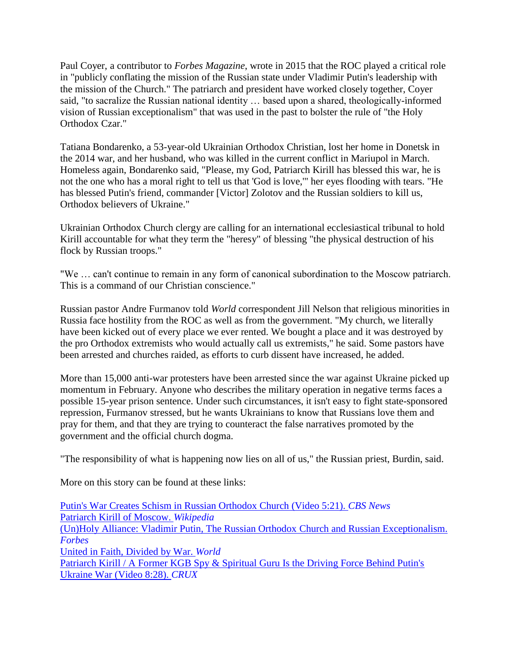Paul Coyer, a contributor to *Forbes Magazine*, wrote in 2015 that the ROC played a critical role in "publicly conflating the mission of the Russian state under Vladimir Putin's leadership with the mission of the Church." The patriarch and president have worked closely together, Coyer said, "to sacralize the Russian national identity … based upon a shared, theologically-informed vision of Russian exceptionalism" that was used in the past to bolster the rule of "the Holy Orthodox Czar."

Tatiana Bondarenko, a 53-year-old Ukrainian Orthodox Christian, lost her home in Donetsk in the 2014 war, and her husband, who was killed in the current conflict in Mariupol in March. Homeless again, Bondarenko said, "Please, my God, Patriarch Kirill has blessed this war, he is not the one who has a moral right to tell us that 'God is love,'" her eyes flooding with tears. "He has blessed Putin's friend, commander [Victor] Zolotov and the Russian soldiers to kill us, Orthodox believers of Ukraine."

Ukrainian Orthodox Church clergy are calling for an international ecclesiastical tribunal to hold Kirill accountable for what they term the "heresy" of blessing "the physical destruction of his flock by Russian troops."

"We … can't continue to remain in any form of canonical subordination to the Moscow patriarch. This is a command of our Christian conscience."

Russian pastor Andre Furmanov told *World* correspondent Jill Nelson that religious minorities in Russia face hostility from the ROC as well as from the government. "My church, we literally have been kicked out of every place we ever rented. We bought a place and it was destroyed by the pro Orthodox extremists who would actually call us extremists," he said. Some pastors have been arrested and churches raided, as efforts to curb dissent have increased, he added.

More than 15,000 anti-war protesters have been arrested since the war against Ukraine picked up momentum in February. Anyone who describes the military operation in negative terms faces a possible 15-year prison sentence. Under such circumstances, it isn't easy to fight state-sponsored repression, Furmanov stressed, but he wants Ukrainians to know that Russians love them and pray for them, and that they are trying to counteract the false narratives promoted by the government and the official church dogma.

"The responsibility of what is happening now lies on all of us," the Russian priest, Burdin, said.

More on this story can be found at these links:

[Putin's War Creates Schism in Russian Orthodox Church \(Video 5:21\).](http://url6748.thewiredword.com/ls/click?upn=FXq18njYKHucetmqt-2BDlq1FBKxYdp2FmeaGp0Ma9-2B9WvKtV5kaDYKFEAYEtc-2FNcX-2BQvBZEWBPOhiSvo6sV4qtYkS5-2FjWVLNBKUU8-2FhiOG4w-3DNX-3_3P4Kxku8HPj-2F7I4XoZ3-2FXv9OsSYMv1idSWZlXhhfbq-2BSQce3dwmMi3-2FKRL57X8zahNWVMqSXIuLV2CogM9cAPZCCtnbhb1KEvMJTnX859-2BxMxmjExZjj5tjzI-2FXiu1u8SuLPhKAMyyOIHFyztzoKk62RqLBZthxenAUOwch4vqrhuRaeoKqVnX61-2FQ5NYuJOgrMnl5KGJJhnBQd8dNMpjjqUypAuvELnUVRaYFCl6UYmiulnoGGRnJYA8hC7DQuFXe4fsesu8fIEpBalOom3OmvwPFjGmnYB3VRPasnLvDKNgWED59bIchovnFEJkPj18JF5H-2FI9v00IR9TPi6TWs-2BJrN3Eo57PnsM26zHF3Fqb4VAnIXDAMDrBnM4IHIVbMA8DoQ-2F6WfFOm60Eod78E1s0qWWTSww2dcCNXUWPRNNmNOIvpeFJKHUaA-2FbiGrt5B-2FAu8Eh4BW2Nan7UHDCTmTabi3BwPYk0wwOfbQzx2-2BJgbfHjWzU4lk9Y5M7AXVtdC) *CBS News* [Patriarch Kirill of Moscow.](http://url6748.thewiredword.com/ls/click?upn=FXq18njYKHucetmqt-2BDlq61p0luJwrIFuhZf6sTRrImX4lISTK4L35jZG3lvyMRoMayjfCtQCvQvk3qnAGpik5WOU21PPqugQmO-2B5a7nYk4-3D_gig_3P4Kxku8HPj-2F7I4XoZ3-2FXv9OsSYMv1idSWZlXhhfbq-2BSQce3dwmMi3-2FKRL57X8zahNWVMqSXIuLV2CogM9cAPZCCtnbhb1KEvMJTnX859-2BxMxmjExZjj5tjzI-2FXiu1u8SuLPhKAMyyOIHFyztzoKk62RqLBZthxenAUOwch4vqrhuRaeoKqVnX61-2FQ5NYuJOgrMnl5KGJJhnBQd8dNMpjjqUypAuvELnUVRaYFCl6UYmiulnoGGRnJYA8hC7DQuFXe4fsesu8fIEpBalOom3OmvwPFjGmnYB3VRPasnLvDKJQ4wNURE7PmHyc9oMt5TVpGdwFQvaTSRm-2FegLecREHm-2Bntqcyld6mO9dZNkgW8rOLbJvr3kSBxVOah0vOiHsnaXa4sQyE6QQLu156YSGHzehPcUd9ZVco92V6ggoogdne8KPc4pPlNVO9JMKVD7Df1l-2F0HeROBrhhIpSTCfro62h1eIO8UXyFfiy3wPzG0L6FQJ6j7-2FyUvoNoYbs6K7IQ) *Wikipedia* [\(Un\)Holy Alliance: Vladimir Putin, The Russian Orthodox](http://url6748.thewiredword.com/ls/click?upn=FXq18njYKHucetmqt-2BDlq2HlwJ-2BwPad5hLJ5wttVlFFWZQxGObDjL1K8lPykmcaq61dpwdUN7jaVYiZYuRrEpfCZ7f9m9u8ehPfw7zpLH6MloJe3BddGZ5ddALb-2B82EoV4ImTPbAa-2BOWlMkTf-2F1Ef72m594q9lzvixI5k8TORJCB4Lp10DiL6Ya3JQU8xQe8gQKg_3P4Kxku8HPj-2F7I4XoZ3-2FXv9OsSYMv1idSWZlXhhfbq-2BSQce3dwmMi3-2FKRL57X8zahNWVMqSXIuLV2CogM9cAPZCCtnbhb1KEvMJTnX859-2BxMxmjExZjj5tjzI-2FXiu1u8SuLPhKAMyyOIHFyztzoKk62RqLBZthxenAUOwch4vqrhuRaeoKqVnX61-2FQ5NYuJOgrMnl5KGJJhnBQd8dNMpjjqUypAuvELnUVRaYFCl6UYmiulnoGGRnJYA8hC7DQuFXe4fsesu8fIEpBalOom3OmvwPFjGmnYB3VRPasnLvDL-2Bfykg5Rea8CvjMk2Ys6tnhLrUN9oefPO3bg2txMVPB2d1TJ1f6U8L8d-2BPDCDEtZangY-2FauMu-2F2Qxg-2Bw4zDl5VX-2BXgkhTaQpfUucEMiAAWb1hcLFamDaqUAvXK1v3UZvjYsjYpG7oU7ocOefjcDJ36rBFnuPrs8BuPta-2BGaedSM5xiZyT0X8L6Mk8HbzKWlGJ6QXbmmhpRASOLXWVBi4O4) Church and Russian Exceptionalism. *[Forbes](http://url6748.thewiredword.com/ls/click?upn=FXq18njYKHucetmqt-2BDlq2HlwJ-2BwPad5hLJ5wttVlFFWZQxGObDjL1K8lPykmcaq61dpwdUN7jaVYiZYuRrEpfCZ7f9m9u8ehPfw7zpLH6MloJe3BddGZ5ddALb-2B82EoV4ImTPbAa-2BOWlMkTf-2F1Ef72m594q9lzvixI5k8TORJCB4Lp10DiL6Ya3JQU8xQe8gQKg_3P4Kxku8HPj-2F7I4XoZ3-2FXv9OsSYMv1idSWZlXhhfbq-2BSQce3dwmMi3-2FKRL57X8zahNWVMqSXIuLV2CogM9cAPZCCtnbhb1KEvMJTnX859-2BxMxmjExZjj5tjzI-2FXiu1u8SuLPhKAMyyOIHFyztzoKk62RqLBZthxenAUOwch4vqrhuRaeoKqVnX61-2FQ5NYuJOgrMnl5KGJJhnBQd8dNMpjjqUypAuvELnUVRaYFCl6UYmiulnoGGRnJYA8hC7DQuFXe4fsesu8fIEpBalOom3OmvwPFjGmnYB3VRPasnLvDL-2Bfykg5Rea8CvjMk2Ys6tnhLrUN9oefPO3bg2txMVPB2d1TJ1f6U8L8d-2BPDCDEtZangY-2FauMu-2F2Qxg-2Bw4zDl5VX-2BXgkhTaQpfUucEMiAAWb1hcLFamDaqUAvXK1v3UZvjYsjYpG7oU7ocOefjcDJ36rBFnuPrs8BuPta-2BGaedSM5xiZyT0X8L6Mk8HbzKWlGJ6QXbmmhpRASOLXWVBi4O4)* [United in Faith, Divided by War.](http://url6748.thewiredword.com/ls/click?upn=FXq18njYKHucetmqt-2BDlqxMzt9y-2B0Ej8D6TYXICZ2Jk6PyEZstOy4nGGLVQ3ZgSqqY12LtWVnX-2BKZfoCK9smhQUiiJ-2FYASbgdsxkBlJgfqY-3DZpz7_3P4Kxku8HPj-2F7I4XoZ3-2FXv9OsSYMv1idSWZlXhhfbq-2BSQce3dwmMi3-2FKRL57X8zahNWVMqSXIuLV2CogM9cAPZCCtnbhb1KEvMJTnX859-2BxMxmjExZjj5tjzI-2FXiu1u8SuLPhKAMyyOIHFyztzoKk62RqLBZthxenAUOwch4vqrhuRaeoKqVnX61-2FQ5NYuJOgrMnl5KGJJhnBQd8dNMpjjqUypAuvELnUVRaYFCl6UYmiulnoGGRnJYA8hC7DQuFXe4fsesu8fIEpBalOom3OmvwPFjGmnYB3VRPasnLvDIh7UyYPwlwCWjoiYy3aEUkNozIH8v9dWktuzd46eTdMYzS0K0jwxAfrPkCO2JC-2FYiot-2FDq-2FgoZR8NyKM2uc4E8vGogHdIL8QmfjLY-2Bq2g64zC-2B-2FdrJ5LmbVByjxMT2PiPZeekhNYX5A-2FQW6RALItsytlgXAn-2F6TUHzSVVEV9jXehG6DLmcFPXhMH87o2Tvxv4kuNR6ojFNwh63wB3TuVZq) *World* Patriarch Kirill / A Former KGB Spy & Spiritual Guru Is the Driving Force Behind Putin's [Ukraine War \(Video 8:28\).](http://url6748.thewiredword.com/ls/click?upn=FXq18njYKHucetmqt-2BDlq9mQh3HGS5wtkxMy67YtUhgSEOAHKGOKnh4ry25gDk-2BNN0BMgxHGXX-2B72fvAqwTJ0Q-3D-3D5LQd_3P4Kxku8HPj-2F7I4XoZ3-2FXv9OsSYMv1idSWZlXhhfbq-2BSQce3dwmMi3-2FKRL57X8zahNWVMqSXIuLV2CogM9cAPZCCtnbhb1KEvMJTnX859-2BxMxmjExZjj5tjzI-2FXiu1u8SuLPhKAMyyOIHFyztzoKk62RqLBZthxenAUOwch4vqrhuRaeoKqVnX61-2FQ5NYuJOgrMnl5KGJJhnBQd8dNMpjjqUypAuvELnUVRaYFCl6UYmiulnoGGRnJYA8hC7DQuFXe4fsesu8fIEpBalOom3OmvwPFjGmnYB3VRPasnLvDIBa9oGo32zigGxY9sYKRRBN90mg5tTN38V5SefjSYCebzYC4gy-2FiIjWpOI1b-2F3i-2BE4X5GKYdQJpgzLi-2FQZ78-2FLzCJdeZPcSNcxiOZnShV0ohLhkqZ2A5bTvc-2B14EMUtXzE4KJU3Rn9d5nKcbsBkOFP-2FUv8FjiotXynt5tLOB-2Bw6gt0XQcoNoRh0MxdNeNKEia1HD3CEhhHVKMAhLnSoVUV) *CRUX*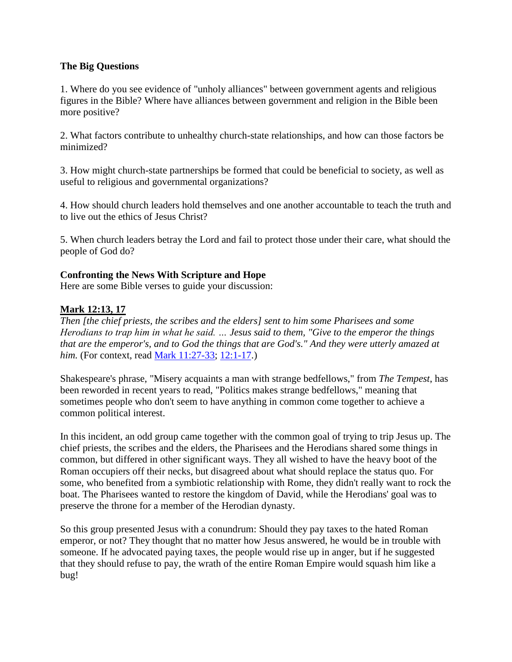# **The Big Questions**

1. Where do you see evidence of "unholy alliances" between government agents and religious figures in the Bible? Where have alliances between government and religion in the Bible been more positive?

2. What factors contribute to unhealthy church-state relationships, and how can those factors be minimized?

3. How might church-state partnerships be formed that could be beneficial to society, as well as useful to religious and governmental organizations?

4. How should church leaders hold themselves and one another accountable to teach the truth and to live out the ethics of Jesus Christ?

5. When church leaders betray the Lord and fail to protect those under their care, what should the people of God do?

# **Confronting the News With Scripture and Hope**

Here are some Bible verses to guide your discussion:

# **Mark 12:13, 17**

*Then [the chief priests, the scribes and the elders] sent to him some Pharisees and some Herodians to trap him in what he said. … Jesus said to them, "Give to the emperor the things that are the emperor's, and to God the things that are God's." And they were utterly amazed at him.* (For context, read [Mark 11:27-33;](http://url6748.thewiredword.com/ls/click?upn=FXq18njYKHucetmqt-2BDlq7yUGu2EWPSz-2Brkxn3-2Blc81laFvNpatXtNw2c8uopxzg-2BZV2j1C4KfwljWDp-2BirGg0vpC1q0-2FN6-2BWNulY7b82rLxnKF0kGDpsl4Ll5avdoPwm6pO_3P4Kxku8HPj-2F7I4XoZ3-2FXv9OsSYMv1idSWZlXhhfbq-2BSQce3dwmMi3-2FKRL57X8zahNWVMqSXIuLV2CogM9cAPZCCtnbhb1KEvMJTnX859-2BxMxmjExZjj5tjzI-2FXiu1u8SuLPhKAMyyOIHFyztzoKk62RqLBZthxenAUOwch4vqrhuRaeoKqVnX61-2FQ5NYuJOgrMnl5KGJJhnBQd8dNMpjjqUypAuvELnUVRaYFCl6UYmiulnoGGRnJYA8hC7DQuFXe4fsesu8fIEpBalOom3OmvwPFjGmnYB3VRPasnLvDJaXXZ8x1O60Ux-2BVEnfUM6PKP-2F4paSLxeNz80IP83rQjcI7mTgFcu0JCu84Ox5b5gzEQ8VK3TYJXbdulUIFRPgOAdpbZZb0qO6PuRdvFpfYwwkFwU9m9h5-2FF0Hcba2JBQv1hl0gCGuNcQa2hBbdFq7ASdo1UnrKpq3mkwDnhGuvWat5Gi1np-2B7nh7vmwFmMChLEiVbKDfxd9X6lmSjD-2BD7Y) [12:1-17.](http://url6748.thewiredword.com/ls/click?upn=FXq18njYKHucetmqt-2BDlq7yUGu2EWPSz-2Brkxn3-2Blc81laFvNpatXtNw2c8uopxzgdY49fz0U2go233GoQnUhV6vKVt8iuSBLImtUMVzMNGxpKzaJiDRruYw3nsv5gpTEPPiw_3P4Kxku8HPj-2F7I4XoZ3-2FXv9OsSYMv1idSWZlXhhfbq-2BSQce3dwmMi3-2FKRL57X8zahNWVMqSXIuLV2CogM9cAPZCCtnbhb1KEvMJTnX859-2BxMxmjExZjj5tjzI-2FXiu1u8SuLPhKAMyyOIHFyztzoKk62RqLBZthxenAUOwch4vqrhuRaeoKqVnX61-2FQ5NYuJOgrMnl5KGJJhnBQd8dNMpjjqUypAuvELnUVRaYFCl6UYmiulnoGGRnJYA8hC7DQuFXe4fsesu8fIEpBalOom3OmvwPFjGmnYB3VRPasnLvDIaifB2OSdzxFE0zztRq4hO43k4oE2nudPlUfnsMrNK5jSQWs2bb6tprhqUKRYl0v6Maq8DqT5s46cfUQ2dvT-2F9qlp56Mc8SPJphcPQBIxuhAXjOss7hhvoRnB2KV1ro0ZzWtqBEiKpzcMpOD9V3sysACGvRehtAdRiEXIVN-2BixbylpDFHAJ1cp5R-2BC2ltzTL1yKM-2BEiQ-2B3rr7hSHMlPuhO))

Shakespeare's phrase, "Misery acquaints a man with strange bedfellows," from *The Tempest*, has been reworded in recent years to read, "Politics makes strange bedfellows," meaning that sometimes people who don't seem to have anything in common come together to achieve a common political interest.

In this incident, an odd group came together with the common goal of trying to trip Jesus up. The chief priests, the scribes and the elders, the Pharisees and the Herodians shared some things in common, but differed in other significant ways. They all wished to have the heavy boot of the Roman occupiers off their necks, but disagreed about what should replace the status quo. For some, who benefited from a symbiotic relationship with Rome, they didn't really want to rock the boat. The Pharisees wanted to restore the kingdom of David, while the Herodians' goal was to preserve the throne for a member of the Herodian dynasty.

So this group presented Jesus with a conundrum: Should they pay taxes to the hated Roman emperor, or not? They thought that no matter how Jesus answered, he would be in trouble with someone. If he advocated paying taxes, the people would rise up in anger, but if he suggested that they should refuse to pay, the wrath of the entire Roman Empire would squash him like a bug!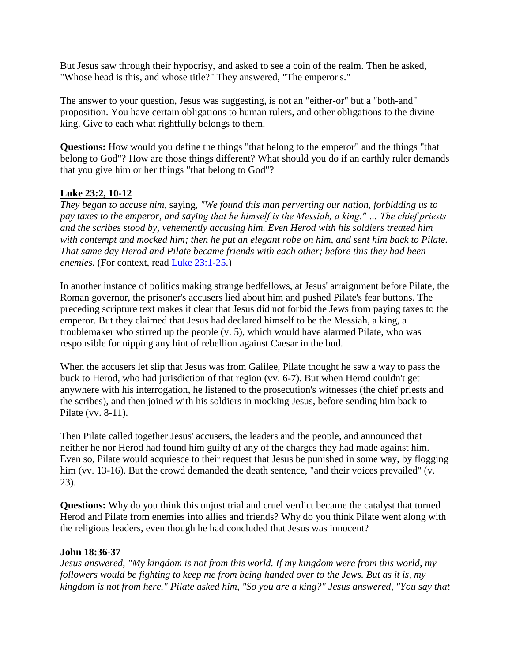But Jesus saw through their hypocrisy, and asked to see a coin of the realm. Then he asked, "Whose head is this, and whose title?" They answered, "The emperor's."

The answer to your question, Jesus was suggesting, is not an "either-or" but a "both-and" proposition. You have certain obligations to human rulers, and other obligations to the divine king. Give to each what rightfully belongs to them.

**Questions:** How would you define the things "that belong to the emperor" and the things "that belong to God"? How are those things different? What should you do if an earthly ruler demands that you give him or her things "that belong to God"?

# **Luke 23:2, 10-12**

*They began to accuse him,* saying, *"We found this man perverting our nation, forbidding us to pay taxes to the emperor, and saying that he himself is the Messiah, a king." … The chief priests and the scribes stood by, vehemently accusing him. Even Herod with his soldiers treated him with contempt and mocked him; then he put an elegant robe on him, and sent him back to Pilate. That same day Herod and Pilate became friends with each other; before this they had been enemies.* (For context, read [Luke 23:1-25.](http://url6748.thewiredword.com/ls/click?upn=FXq18njYKHucetmqt-2BDlq7yUGu2EWPSz-2Brkxn3-2Blc81laFvNpatXtNw2c8uopxzgejP-2Fz6ZaWzM-2BKEe6xEhjaS4YSv9FkPSW3eqGD92v6V3X4b0h5MyVMR3nKyeVgVjAzYmq_3P4Kxku8HPj-2F7I4XoZ3-2FXv9OsSYMv1idSWZlXhhfbq-2BSQce3dwmMi3-2FKRL57X8zahNWVMqSXIuLV2CogM9cAPZCCtnbhb1KEvMJTnX859-2BxMxmjExZjj5tjzI-2FXiu1u8SuLPhKAMyyOIHFyztzoKk62RqLBZthxenAUOwch4vqrhuRaeoKqVnX61-2FQ5NYuJOgrMnl5KGJJhnBQd8dNMpjjqUypAuvELnUVRaYFCl6UYmiulnoGGRnJYA8hC7DQuFXe4fsesu8fIEpBalOom3OmvwPFjGmnYB3VRPasnLvDJDKIItl4QvOiczfGr2fh2oBO3-2Bnbt-2FqRSS-2FwyaVJtZvFUwJr-2FOPXT9w9lQ5Gkcb1PN5IY5y-2BmPRtmYjkF7axqmETHAmBVq-2BzbcDLNMBa20llNx-2FrgpsF9TjYsSprtBgUAv7fBf9ZPQ4fkRrFTVf8PxlBTN3jm-2FpEFhw3kc5OGmZEiWAX284hwPMYSafGXLI6a1MkZS48KZWANU10H5gYQd))

In another instance of politics making strange bedfellows, at Jesus' arraignment before Pilate, the Roman governor, the prisoner's accusers lied about him and pushed Pilate's fear buttons. The preceding scripture text makes it clear that Jesus did not forbid the Jews from paying taxes to the emperor. But they claimed that Jesus had declared himself to be the Messiah, a king, a troublemaker who stirred up the people (v. 5), which would have alarmed Pilate, who was responsible for nipping any hint of rebellion against Caesar in the bud.

When the accusers let slip that Jesus was from Galilee, Pilate thought he saw a way to pass the buck to Herod, who had jurisdiction of that region (vv. 6-7). But when Herod couldn't get anywhere with his interrogation, he listened to the prosecution's witnesses (the chief priests and the scribes), and then joined with his soldiers in mocking Jesus, before sending him back to Pilate (vv. 8-11).

Then Pilate called together Jesus' accusers, the leaders and the people, and announced that neither he nor Herod had found him guilty of any of the charges they had made against him. Even so, Pilate would acquiesce to their request that Jesus be punished in some way, by flogging him (vv. 13-16). But the crowd demanded the death sentence, "and their voices prevailed" (v. 23).

**Questions:** Why do you think this unjust trial and cruel verdict became the catalyst that turned Herod and Pilate from enemies into allies and friends? Why do you think Pilate went along with the religious leaders, even though he had concluded that Jesus was innocent?

# **John 18:36-37**

*Jesus answered, "My kingdom is not from this world. If my kingdom were from this world, my followers would be fighting to keep me from being handed over to the Jews. But as it is, my kingdom is not from here." Pilate asked him, "So you are a king?" Jesus answered, "You say that*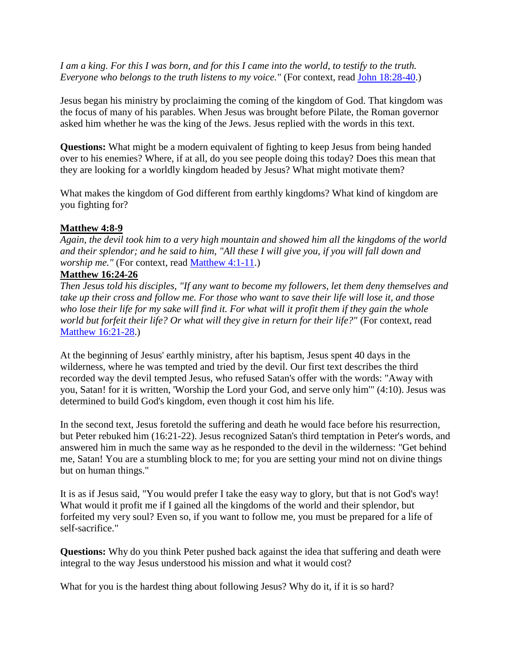*I am a king. For this I was born, and for this I came into the world, to testify to the truth. Everyone who belongs to the truth listens to my voice.*" (For context, read [John 18:28-40.](http://url6748.thewiredword.com/ls/click?upn=FXq18njYKHucetmqt-2BDlq7yUGu2EWPSz-2Brkxn3-2Blc81laFvNpatXtNw2c8uopxzg0pBdzg214GTckX3A8Ioh21q1GfoK5YbHPxrbO6XYLpHVdWlJ5-2FYLK8ihZoTb1-2BCrpFoP_3P4Kxku8HPj-2F7I4XoZ3-2FXv9OsSYMv1idSWZlXhhfbq-2BSQce3dwmMi3-2FKRL57X8zahNWVMqSXIuLV2CogM9cAPZCCtnbhb1KEvMJTnX859-2BxMxmjExZjj5tjzI-2FXiu1u8SuLPhKAMyyOIHFyztzoKk62RqLBZthxenAUOwch4vqrhuRaeoKqVnX61-2FQ5NYuJOgrMnl5KGJJhnBQd8dNMpjjqUypAuvELnUVRaYFCl6UYmiulnoGGRnJYA8hC7DQuFXe4fsesu8fIEpBalOom3OmvwPFjGmnYB3VRPasnLvDI1yeilX8KytJ3SWh6ClsElvOs0SuCGK7UIrKOFnzGXJcF5oPpBXidc5LWgpTmN-2BWzHVba0DctWgGH-2FLv7JidEYE-2Bfz7irGdj1ObzEbvQ-2BRMsJEmBKD7ptC1mZA3-2B93QMfor5-2BX7UEvikMCnT-2BdF6DeDNFc8vpzsuEKAs7K1pMTUrystlufjfuN6HurWat6c61B8VDqWB67HnQ4CK5oIRyM))

Jesus began his ministry by proclaiming the coming of the kingdom of God. That kingdom was the focus of many of his parables. When Jesus was brought before Pilate, the Roman governor asked him whether he was the king of the Jews. Jesus replied with the words in this text.

**Questions:** What might be a modern equivalent of fighting to keep Jesus from being handed over to his enemies? Where, if at all, do you see people doing this today? Does this mean that they are looking for a worldly kingdom headed by Jesus? What might motivate them?

What makes the kingdom of God different from earthly kingdoms? What kind of kingdom are you fighting for?

### **Matthew 4:8-9**

*Again, the devil took him to a very high mountain and showed him all the kingdoms of the world and their splendor; and he said to him, "All these I will give you, if you will fall down and worship me."* (For context, read [Matthew 4:1-11.](http://url6748.thewiredword.com/ls/click?upn=FXq18njYKHucetmqt-2BDlq7yUGu2EWPSz-2Brkxn3-2Blc81laFvNpatXtNw2c8uopxzgwaPZgUaFa6FIjSM5sgaEFiMPb6RhK542Qq5oSwsmsBZel4CER-2BwEhezu96AtD-2BxBTF7h_3P4Kxku8HPj-2F7I4XoZ3-2FXv9OsSYMv1idSWZlXhhfbq-2BSQce3dwmMi3-2FKRL57X8zahNWVMqSXIuLV2CogM9cAPZCCtnbhb1KEvMJTnX859-2BxMxmjExZjj5tjzI-2FXiu1u8SuLPhKAMyyOIHFyztzoKk62RqLBZthxenAUOwch4vqrhuRaeoKqVnX61-2FQ5NYuJOgrMnl5KGJJhnBQd8dNMpjjqUypAuvELnUVRaYFCl6UYmiulnoGGRnJYA8hC7DQuFXe4fsesu8fIEpBalOom3OmvwPFjGmnYB3VRPasnLvDKp-2F2WfBVi-2FcwVMCIDYF27qhFyoh6XLXgs3OCtBGUfGPwI8meW0UI8pwbRUTd7l7J1fitsXNlgkaGsehpIBzFzLSjTKctYLKjeXYxCpp6p5PSuVaPJDS4ekJNQIO9X6qw6PLh-2BYSHfHWee2Og0FIkzzMBTFSKRDgFKOwOluIf-2FBwKZFwlG4FjI3QC4nel81YlM5ONTqJZTpxcC7nQuxi3vd))

### **Matthew 16:24-26**

*Then Jesus told his disciples, "If any want to become my followers, let them deny themselves and take up their cross and follow me. For those who want to save their life will lose it, and those who lose their life for my sake will find it. For what will it profit them if they gain the whole world but forfeit their life? Or what will they give in return for their life?"* (For context, read [Matthew 16:21-28.](http://url6748.thewiredword.com/ls/click?upn=FXq18njYKHucetmqt-2BDlq7yUGu2EWPSz-2Brkxn3-2Blc81laFvNpatXtNw2c8uopxzgI1SQvC-2BrUnNwvrzcSdUhIy9FVj7nGLGV-2BgR3ZAbKtDqqJw4-2F1X0nYAy360oSK4aOD_Ke_3P4Kxku8HPj-2F7I4XoZ3-2FXv9OsSYMv1idSWZlXhhfbq-2BSQce3dwmMi3-2FKRL57X8zahNWVMqSXIuLV2CogM9cAPZCCtnbhb1KEvMJTnX859-2BxMxmjExZjj5tjzI-2FXiu1u8SuLPhKAMyyOIHFyztzoKk62RqLBZthxenAUOwch4vqrhuRaeoKqVnX61-2FQ5NYuJOgrMnl5KGJJhnBQd8dNMpjjqUypAuvELnUVRaYFCl6UYmiulnoGGRnJYA8hC7DQuFXe4fsesu8fIEpBalOom3OmvwPFjGmnYB3VRPasnLvDIVK-2Fkz8OsOO0GhQaa3IWf4JHc2-2BXy2NA-2F04bJW6n7nWhpBiz7suBrKRzZzvC0HAHDhR35DLdK1BsmH1B9XEcznjB-2Btk1QcfZmCXJ8ymkYTRSceLUMw8qyU-2FgAySjzCCdn35ut78bjGr7RuqD8sIN3PWpmT9NxBbRKGwa8WKpUApT3H006V2Biv5bXZDklxLi5GiA7TyMbJQTjKr3lz8nCc))

At the beginning of Jesus' earthly ministry, after his baptism, Jesus spent 40 days in the wilderness, where he was tempted and tried by the devil. Our first text describes the third recorded way the devil tempted Jesus, who refused Satan's offer with the words: "Away with you, Satan! for it is written, 'Worship the Lord your God, and serve only him'" (4:10). Jesus was determined to build God's kingdom, even though it cost him his life.

In the second text, Jesus foretold the suffering and death he would face before his resurrection, but Peter rebuked him (16:21-22). Jesus recognized Satan's third temptation in Peter's words, and answered him in much the same way as he responded to the devil in the wilderness: "Get behind me, Satan! You are a stumbling block to me; for you are setting your mind not on divine things but on human things."

It is as if Jesus said, "You would prefer I take the easy way to glory, but that is not God's way! What would it profit me if I gained all the kingdoms of the world and their splendor, but forfeited my very soul? Even so, if you want to follow me, you must be prepared for a life of self-sacrifice."

**Questions:** Why do you think Peter pushed back against the idea that suffering and death were integral to the way Jesus understood his mission and what it would cost?

What for you is the hardest thing about following Jesus? Why do it, if it is so hard?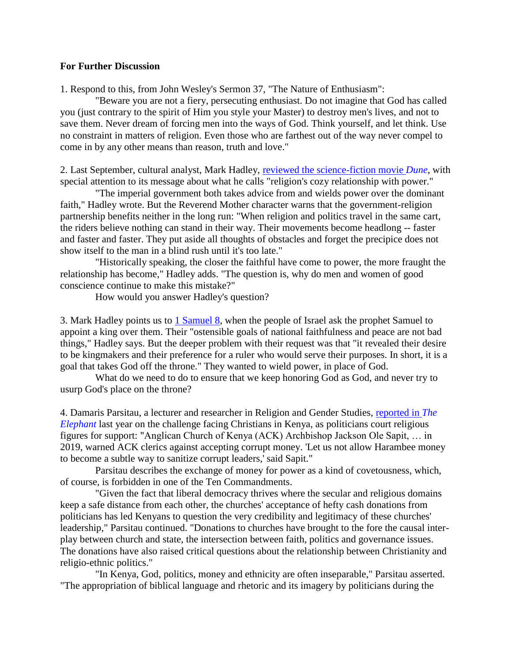#### **For Further Discussion**

1. Respond to this, from John Wesley's Sermon 37, "The Nature of Enthusiasm":

 "Beware you are not a fiery, persecuting enthusiast. Do not imagine that God has called you (just contrary to the spirit of Him you style your Master) to destroy men's lives, and not to save them. Never dream of forcing men into the ways of God. Think yourself, and let think. Use no constraint in matters of religion. Even those who are farthest out of the way never compel to come in by any other means than reason, truth and love."

2. Last September, cultural analyst, Mark Hadley, [reviewed the science-fiction movie](http://url6748.thewiredword.com/ls/click?upn=FXq18njYKHucetmqt-2BDlq-2FXRp3oisLhkliCify-2BV6lZ9ArhyRcrXQxSC5ltxr7U8C5PrlDHdU5tldIognn2k5w-3D-3DQEX3_3P4Kxku8HPj-2F7I4XoZ3-2FXv9OsSYMv1idSWZlXhhfbq-2BSQce3dwmMi3-2FKRL57X8zahNWVMqSXIuLV2CogM9cAPZCCtnbhb1KEvMJTnX859-2BxMxmjExZjj5tjzI-2FXiu1u8SuLPhKAMyyOIHFyztzoKk62RqLBZthxenAUOwch4vqrhuRaeoKqVnX61-2FQ5NYuJOgrMnl5KGJJhnBQd8dNMpjjqUypAuvELnUVRaYFCl6UYmiulnoGGRnJYA8hC7DQuFXe4fsesu8fIEpBalOom3OmvwPFjGmnYB3VRPasnLvDKOs8NVDsFnm414m3looV3EWtENw4CpTa1TDJFJ2CUdJKdJVaQ-2FISQMEMeH4y-2FZAbcZOe7fIQvViiRqoED6yW2ZEPOv-2FIR0uCH-2FEFhBn5GeKhJzT8O95wQT0GLwJfXKBa7gmOWtVsLmpqdindnx4fS31cU2doVYmhnzGe8OuJmqCaLEXbAnB2gAVPwXftfhekhmLpGVk-2Bqn9fh3ynjSfPrS) *Dune*, with special attention to its message about what he calls "religion's cozy relationship with power."

 "The imperial government both takes advice from and wields power over the dominant faith," Hadley wrote. But the Reverend Mother character warns that the government-religion partnership benefits neither in the long run: "When religion and politics travel in the same cart, the riders believe nothing can stand in their way. Their movements become headlong -- faster and faster and faster. They put aside all thoughts of obstacles and forget the precipice does not show itself to the man in a blind rush until it's too late."

 "Historically speaking, the closer the faithful have come to power, the more fraught the relationship has become," Hadley adds. "The question is, why do men and women of good conscience continue to make this mistake?"

How would you answer Hadley's question?

3. Mark Hadley points us to  $1$  Samuel 8, when the people of Israel ask the prophet Samuel to appoint a king over them. Their "ostensible goals of national faithfulness and peace are not bad things," Hadley says. But the deeper problem with their request was that "it revealed their desire to be kingmakers and their preference for a ruler who would serve their purposes. In short, it is a goal that takes God off the throne." They wanted to wield power, in place of God.

 What do we need to do to ensure that we keep honoring God as God, and never try to usurp God's place on the throne?

4. Damaris Parsitau, a lecturer and researcher in Religion and Gender Studies, [reported in](http://url6748.thewiredword.com/ls/click?upn=FXq18njYKHucetmqt-2BDlqz33l13-2BWJm-2BJfAD0b5VOLVaf5WDY0QgBuasLGdKTfa9gv-2B9HlpkC7NeUUQkPYTqQu4i-2Ff-2Bw-2FofyHcuvho-2BuoqcQrT3n1IWo5c4D7HaRDMBWfw25KvJ-2BClWqVxwcgW5z5w-3D-3DSrTT_3P4Kxku8HPj-2F7I4XoZ3-2FXv9OsSYMv1idSWZlXhhfbq-2BSQce3dwmMi3-2FKRL57X8zahNWVMqSXIuLV2CogM9cAPZCCtnbhb1KEvMJTnX859-2BxMxmjExZjj5tjzI-2FXiu1u8SuLPhKAMyyOIHFyztzoKk62RqLBZthxenAUOwch4vqrhuRaeoKqVnX61-2FQ5NYuJOgrMnl5KGJJhnBQd8dNMpjjqUypAuvELnUVRaYFCl6UYmiulnoGGRnJYA8hC7DQuFXe4fsesu8fIEpBalOom3OmvwPFjGmnYB3VRPasnLvDJ1srsmbJIf5KW-2Fp4fcO3iH6nuUhWP4yosCodGru-2B-2BWZHYquNLf9F5KYfVNDavNbAyblSXKMTnaRDm07IikqJNIR-2F4a3dQtkOWtyQroQiVXXVJEWQIz0nrEP7rxrS5tsJ3GrV74FiSohQq58WtZVNUmDR2ImW4l6tuxzemxA3Tj8iRlGLRbsXdMqek6GxYOYjkCrIJCoL-2Br5N9SmvOh5taM) *The [Elephant](http://url6748.thewiredword.com/ls/click?upn=FXq18njYKHucetmqt-2BDlqz33l13-2BWJm-2BJfAD0b5VOLVaf5WDY0QgBuasLGdKTfa9gv-2B9HlpkC7NeUUQkPYTqQu4i-2Ff-2Bw-2FofyHcuvho-2BuoqcQrT3n1IWo5c4D7HaRDMBWfw25KvJ-2BClWqVxwcgW5z5w-3D-3DSrTT_3P4Kxku8HPj-2F7I4XoZ3-2FXv9OsSYMv1idSWZlXhhfbq-2BSQce3dwmMi3-2FKRL57X8zahNWVMqSXIuLV2CogM9cAPZCCtnbhb1KEvMJTnX859-2BxMxmjExZjj5tjzI-2FXiu1u8SuLPhKAMyyOIHFyztzoKk62RqLBZthxenAUOwch4vqrhuRaeoKqVnX61-2FQ5NYuJOgrMnl5KGJJhnBQd8dNMpjjqUypAuvELnUVRaYFCl6UYmiulnoGGRnJYA8hC7DQuFXe4fsesu8fIEpBalOom3OmvwPFjGmnYB3VRPasnLvDJ1srsmbJIf5KW-2Fp4fcO3iH6nuUhWP4yosCodGru-2B-2BWZHYquNLf9F5KYfVNDavNbAyblSXKMTnaRDm07IikqJNIR-2F4a3dQtkOWtyQroQiVXXVJEWQIz0nrEP7rxrS5tsJ3GrV74FiSohQq58WtZVNUmDR2ImW4l6tuxzemxA3Tj8iRlGLRbsXdMqek6GxYOYjkCrIJCoL-2Br5N9SmvOh5taM)* last year on the challenge facing Christians in Kenya, as politicians court religious figures for support: "Anglican Church of Kenya (ACK) Archbishop Jackson Ole Sapit, … in 2019, warned ACK clerics against accepting corrupt money. 'Let us not allow Harambee money to become a subtle way to sanitize corrupt leaders,' said Sapit."

 Parsitau describes the exchange of money for power as a kind of covetousness, which, of course, is forbidden in one of the Ten Commandments.

 "Given the fact that liberal democracy thrives where the secular and religious domains keep a safe distance from each other, the churches' acceptance of hefty cash donations from politicians has led Kenyans to question the very credibility and legitimacy of these churches' leadership," Parsitau continued. "Donations to churches have brought to the fore the causal interplay between church and state, the intersection between faith, politics and governance issues. The donations have also raised critical questions about the relationship between Christianity and religio-ethnic politics."

 "In Kenya, God, politics, money and ethnicity are often inseparable," Parsitau asserted. "The appropriation of biblical language and rhetoric and its imagery by politicians during the